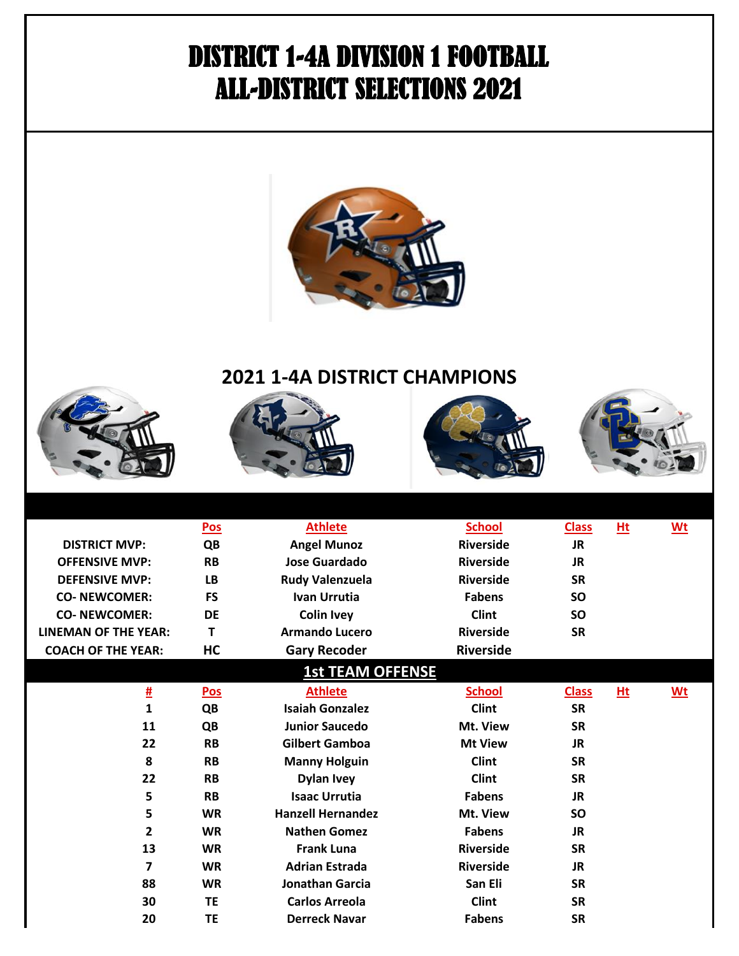## DISTRICT 1-4A DIVISION 1 FOOTBALL ALL-DISTRICT SELECTIONS 2021



## **2021 1-4A DISTRICT CHAMPIONS**









|                             | Pos        | <b>Athlete</b>           | <b>School</b>    | <b>Class</b> | Ht | <b>Wt</b> |
|-----------------------------|------------|--------------------------|------------------|--------------|----|-----------|
| <b>DISTRICT MVP:</b>        | QB         | <b>Angel Munoz</b>       | <b>Riverside</b> | JR.          |    |           |
| <b>OFFENSIVE MVP:</b>       | <b>RB</b>  | <b>Jose Guardado</b>     | <b>Riverside</b> | <b>JR</b>    |    |           |
| <b>DEFENSIVE MVP:</b>       | <b>LB</b>  | <b>Rudy Valenzuela</b>   | <b>Riverside</b> | <b>SR</b>    |    |           |
| <b>CO-NEWCOMER:</b>         | FS         | <b>Ivan Urrutia</b>      | <b>Fabens</b>    | <b>SO</b>    |    |           |
| <b>CO-NEWCOMER:</b>         | <b>DE</b>  | <b>Colin Ivey</b>        | <b>Clint</b>     | <b>SO</b>    |    |           |
| <b>LINEMAN OF THE YEAR:</b> | т          | <b>Armando Lucero</b>    | <b>Riverside</b> | <b>SR</b>    |    |           |
| <b>COACH OF THE YEAR:</b>   | <b>HC</b>  | <b>Gary Recoder</b>      | <b>Riverside</b> |              |    |           |
|                             |            | <b>1st TEAM OFFENSE</b>  |                  |              |    |           |
| <u>#</u>                    | <b>Pos</b> | <b>Athlete</b>           | <b>School</b>    | <b>Class</b> | Ht | <u>Wt</u> |
| 1                           | QB         | <b>Isaiah Gonzalez</b>   | <b>Clint</b>     | <b>SR</b>    |    |           |
| 11                          | QB         | <b>Junior Saucedo</b>    | Mt. View         | <b>SR</b>    |    |           |
| 22                          | <b>RB</b>  | <b>Gilbert Gamboa</b>    | <b>Mt View</b>   | <b>JR</b>    |    |           |
| 8                           | <b>RB</b>  | <b>Manny Holguin</b>     | <b>Clint</b>     | <b>SR</b>    |    |           |
| 22                          | <b>RB</b>  | <b>Dylan Ivey</b>        | <b>Clint</b>     | <b>SR</b>    |    |           |
| 5                           | <b>RB</b>  | <b>Isaac Urrutia</b>     | <b>Fabens</b>    | <b>JR</b>    |    |           |
| 5                           | <b>WR</b>  | <b>Hanzell Hernandez</b> | Mt. View         | <b>SO</b>    |    |           |
| $\overline{2}$              | <b>WR</b>  | <b>Nathen Gomez</b>      | <b>Fabens</b>    | <b>JR</b>    |    |           |
| 13                          | <b>WR</b>  | <b>Frank Luna</b>        | <b>Riverside</b> | <b>SR</b>    |    |           |
| $\overline{7}$              | <b>WR</b>  | <b>Adrian Estrada</b>    | <b>Riverside</b> | <b>JR</b>    |    |           |
| 88                          | <b>WR</b>  | <b>Jonathan Garcia</b>   | San Eli          | <b>SR</b>    |    |           |
| 30                          | <b>TE</b>  | <b>Carlos Arreola</b>    | <b>Clint</b>     | <b>SR</b>    |    |           |
| 20                          | <b>TE</b>  | <b>Derreck Navar</b>     | <b>Fabens</b>    | <b>SR</b>    |    |           |
|                             |            |                          |                  |              |    |           |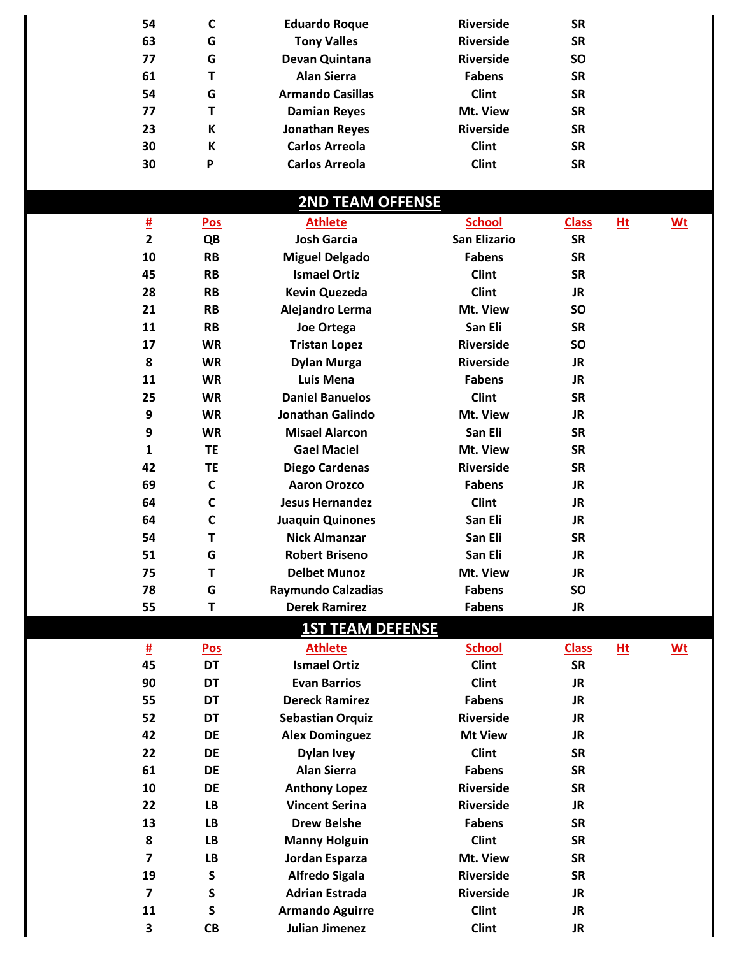| 54             | C            | <b>Eduardo Roque</b>      | <b>Riverside</b>    | <b>SR</b>    |       |      |  |
|----------------|--------------|---------------------------|---------------------|--------------|-------|------|--|
| 63             | G            | <b>Tony Valles</b>        | <b>Riverside</b>    | <b>SR</b>    |       |      |  |
| 77             | G            | Devan Quintana            | <b>Riverside</b>    | SO           |       |      |  |
| 61             | T            | <b>Alan Sierra</b>        | <b>Fabens</b>       | <b>SR</b>    |       |      |  |
| 54             | G            | <b>Armando Casillas</b>   | <b>Clint</b>        | <b>SR</b>    |       |      |  |
| 77             | T            | <b>Damian Reyes</b>       | Mt. View            | <b>SR</b>    |       |      |  |
| 23             | К            | <b>Jonathan Reyes</b>     | <b>Riverside</b>    | <b>SR</b>    |       |      |  |
| 30             | К            | <b>Carlos Arreola</b>     | <b>Clint</b>        | <b>SR</b>    |       |      |  |
| 30             | P            | <b>Carlos Arreola</b>     | <b>Clint</b>        | <b>SR</b>    |       |      |  |
|                |              |                           |                     |              |       |      |  |
|                |              | <b>2ND TEAM OFFENSE</b>   |                     |              |       |      |  |
| 坓              | Pos          | <b>Athlete</b>            | <b>School</b>       | <b>Class</b> | $Ht$  | $Wt$ |  |
| $\overline{2}$ | QB           | <b>Josh Garcia</b>        | <b>San Elizario</b> | <b>SR</b>    |       |      |  |
| 10             | <b>RB</b>    | <b>Miguel Delgado</b>     | <b>Fabens</b>       | <b>SR</b>    |       |      |  |
| 45             | <b>RB</b>    | <b>Ismael Ortiz</b>       | <b>Clint</b>        | <b>SR</b>    |       |      |  |
| 28             | <b>RB</b>    | <b>Kevin Quezeda</b>      | <b>Clint</b>        | <b>JR</b>    |       |      |  |
| 21             | <b>RB</b>    | Alejandro Lerma           | Mt. View            | SO           |       |      |  |
| 11             | <b>RB</b>    | Joe Ortega                | San Eli             | <b>SR</b>    |       |      |  |
| 17             | <b>WR</b>    | <b>Tristan Lopez</b>      | <b>Riverside</b>    | SO           |       |      |  |
| 8              | <b>WR</b>    | <b>Dylan Murga</b>        | <b>Riverside</b>    | <b>JR</b>    |       |      |  |
| 11             | <b>WR</b>    | <b>Luis Mena</b>          | <b>Fabens</b>       | <b>JR</b>    |       |      |  |
| 25             | <b>WR</b>    | <b>Daniel Banuelos</b>    | <b>Clint</b>        | <b>SR</b>    |       |      |  |
| 9              | <b>WR</b>    | <b>Jonathan Galindo</b>   | Mt. View            | <b>JR</b>    |       |      |  |
| 9              | <b>WR</b>    | <b>Misael Alarcon</b>     | San Eli             | <b>SR</b>    |       |      |  |
| $\mathbf{1}$   | <b>TE</b>    | <b>Gael Maciel</b>        | Mt. View            | <b>SR</b>    |       |      |  |
| 42             | <b>TE</b>    | <b>Diego Cardenas</b>     | <b>Riverside</b>    | <b>SR</b>    |       |      |  |
| 69             | $\mathsf{C}$ | <b>Aaron Orozco</b>       | <b>Fabens</b>       | <b>JR</b>    |       |      |  |
| 64             | $\mathbf C$  | <b>Jesus Hernandez</b>    | <b>Clint</b>        | <b>JR</b>    |       |      |  |
| 64             | $\mathbf c$  | <b>Juaquin Quinones</b>   | San Eli             | <b>JR</b>    |       |      |  |
| 54             | T            | <b>Nick Almanzar</b>      | San Eli             | <b>SR</b>    |       |      |  |
| 51             | G            | <b>Robert Briseno</b>     | San Eli             | <b>JR</b>    |       |      |  |
| 75             | T            | <b>Delbet Munoz</b>       | Mt. View            | <b>JR</b>    |       |      |  |
| 78             | G            | <b>Raymundo Calzadias</b> | <b>Fabens</b>       | SO           |       |      |  |
| 55             | T            | <b>Derek Ramirez</b>      | <b>Fabens</b>       | <b>JR</b>    |       |      |  |
|                |              | <b>1ST TEAM DEFENSE</b>   |                     |              |       |      |  |
| 坓              | <u>Pos</u>   | <b>Athlete</b>            | <b>School</b>       | <b>Class</b> | $Hit$ | $Wt$ |  |
| 45             | DT           | <b>Ismael Ortiz</b>       | <b>Clint</b>        | <b>SR</b>    |       |      |  |
| 90             | DT           | <b>Evan Barrios</b>       | <b>Clint</b>        | <b>JR</b>    |       |      |  |
| 55             | DT           | <b>Dereck Ramirez</b>     | <b>Fabens</b>       | <b>JR</b>    |       |      |  |
| 52             | <b>DT</b>    | <b>Sebastian Orquiz</b>   | <b>Riverside</b>    | <b>JR</b>    |       |      |  |
| 42             | DE           | <b>Alex Dominguez</b>     | <b>Mt View</b>      | <b>JR</b>    |       |      |  |
| 22             | DE           | <b>Dylan Ivey</b>         | <b>Clint</b>        | <b>SR</b>    |       |      |  |
| 61             | <b>DE</b>    | <b>Alan Sierra</b>        | <b>Fabens</b>       | <b>SR</b>    |       |      |  |

 **DE SR Anthony Lopez Riverside LB JR Vincent Serina Riverside LB SR Drew Belshe Fabens LB SR Manny Holguin Clint LB SR Jordan Esparza S SR Alfredo Sigala Riverside S JR Adrian Estrada Riverside S JR Armando Aguirre Clint CB Julian Jimenez Clint JR** 

**Mt. View**